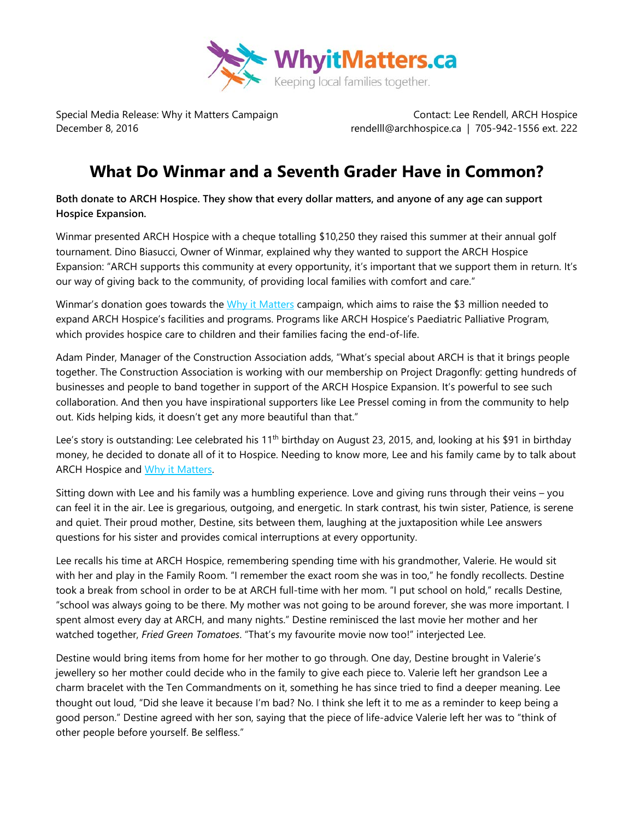

Special Media Release: Why it Matters Campaign Contact: Lee Rendell, ARCH Hospice December 8, 2016 **rendell**l@archhospice.ca | 705-942-1556 ext. 222

## **What Do Winmar and a Seventh Grader Have in Common?**

**Both donate to ARCH Hospice. They show that every dollar matters, and anyone of any age can support Hospice Expansion.**

Winmar presented ARCH Hospice with a cheque totalling \$10,250 they raised this summer at their annual golf tournament. Dino Biasucci, Owner of Winmar, explained why they wanted to support the ARCH Hospice Expansion: "ARCH supports this community at every opportunity, it's important that we support them in return. It's our way of giving back to the community, of providing local families with comfort and care."

Winmar's donation goes towards the [Why it Matters](http://www.archhospice.ca/why-it-matters) campaign, which aims to raise the \$3 million needed to expand ARCH Hospice's facilities and programs. Programs like ARCH Hospice's Paediatric Palliative Program, which provides hospice care to children and their families facing the end-of-life.

Adam Pinder, Manager of the Construction Association adds, "What's special about ARCH is that it brings people together. The Construction Association is working with our membership on Project Dragonfly: getting hundreds of businesses and people to band together in support of the ARCH Hospice Expansion. It's powerful to see such collaboration. And then you have inspirational supporters like Lee Pressel coming in from the community to help out. Kids helping kids, it doesn't get any more beautiful than that."

Lee's story is outstanding: Lee celebrated his 11<sup>th</sup> birthday on August 23, 2015, and, looking at his \$91 in birthday money, he decided to donate all of it to Hospice. Needing to know more, Lee and his family came by to talk about ARCH Hospice and [Why it Matters.](http://www.archhospice.ca/why-it-matters)

Sitting down with Lee and his family was a humbling experience. Love and giving runs through their veins – you can feel it in the air. Lee is gregarious, outgoing, and energetic. In stark contrast, his twin sister, Patience, is serene and quiet. Their proud mother, Destine, sits between them, laughing at the juxtaposition while Lee answers questions for his sister and provides comical interruptions at every opportunity.

Lee recalls his time at ARCH Hospice, remembering spending time with his grandmother, Valerie. He would sit with her and play in the Family Room. "I remember the exact room she was in too," he fondly recollects. Destine took a break from school in order to be at ARCH full-time with her mom. "I put school on hold," recalls Destine, "school was always going to be there. My mother was not going to be around forever, she was more important. I spent almost every day at ARCH, and many nights." Destine reminisced the last movie her mother and her watched together, *Fried Green Tomatoes*. "That's my favourite movie now too!" interjected Lee.

Destine would bring items from home for her mother to go through. One day, Destine brought in Valerie's jewellery so her mother could decide who in the family to give each piece to. Valerie left her grandson Lee a charm bracelet with the Ten Commandments on it, something he has since tried to find a deeper meaning. Lee thought out loud, "Did she leave it because I'm bad? No. I think she left it to me as a reminder to keep being a good person." Destine agreed with her son, saying that the piece of life-advice Valerie left her was to "think of other people before yourself. Be selfless."